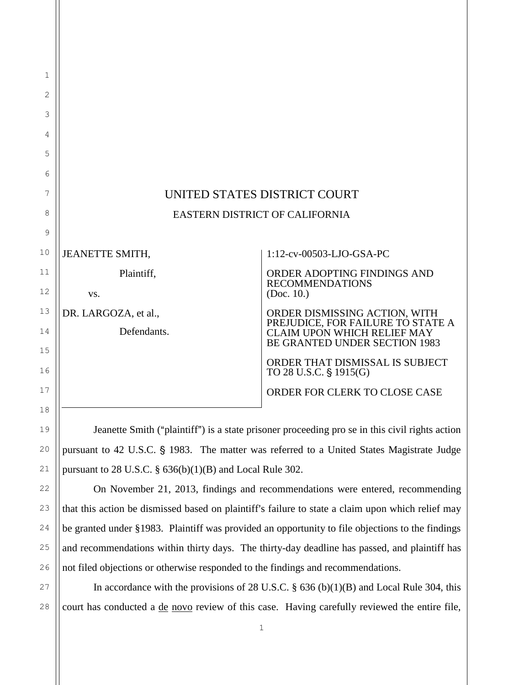| $\mathbf 1$ |                              |                                                                     |
|-------------|------------------------------|---------------------------------------------------------------------|
| 2           |                              |                                                                     |
| 3           |                              |                                                                     |
| 4           |                              |                                                                     |
| 5           |                              |                                                                     |
| 6           |                              |                                                                     |
| 7           | UNITED STATES DISTRICT COURT |                                                                     |
| 8           |                              | EASTERN DISTRICT OF CALIFORNIA                                      |
| 9           |                              |                                                                     |
| 10          | <b>JEANETTE SMITH,</b>       | 1:12-cv-00503-LJO-GSA-PC                                            |
| 11          | Plaintiff,                   | ORDER ADOPTING FINDINGS AND<br><b>RECOMMENDATIONS</b>               |
| 12          | VS.                          | (Doc. 10.)                                                          |
| 13          | DR. LARGOZA, et al.,         | ORDER DISMISSING ACTION, WITH PREJUDICE, FOR FAILURE TO STATE A     |
| 14          | Defendants.                  | <b>CLAIM UPON WHICH RELIEF MAY</b><br>BE GRANTED UNDER SECTION 1983 |
| 15          |                              | ORDER THAT DISMISSAL IS SUBJECT                                     |
| 16          |                              | TO 28 U.S.C. § 1915(G)                                              |
| 17          |                              | ORDER FOR CLERK TO CLOSE CASE                                       |
| 18          |                              |                                                                     |

Jeanette Smith ("plaintiff") is a state prisoner proceeding pro se in this civil rights action pursuant to 42 U.S.C. § 1983. The matter was referred to a United States Magistrate Judge pursuant to  $28$  U.S.C.  $\S$   $636(b)(1)(B)$  and Local Rule 302.

19

20

21

22

23

24

25

26

On November 21, 2013, findings and recommendations were entered, recommending that this action be dismissed based on plaintiff's failure to state a claim upon which relief may be granted under §1983. Plaintiff was provided an opportunity to file objections to the findings and recommendations within thirty days. The thirty-day deadline has passed, and plaintiff has not filed objections or otherwise responded to the findings and recommendations.

27 28 In accordance with the provisions of 28 U.S.C.  $\S$  636 (b)(1)(B) and Local Rule 304, this court has conducted a <u>de novo</u> review of this case. Having carefully reviewed the entire file,

1